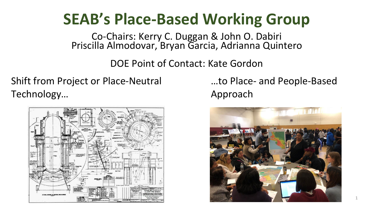# **SEAB's Place-Based Working Group**

Co-Chairs: Kerry C. Duggan & John O. Dabiri Priscilla Almodovar, Bryan Garcia, Adrianna Quintero

DOE Point of Contact: Kate Gordon

# Shift from Project or Place-Neutral Technology…



…to Place- and People-Based Approach

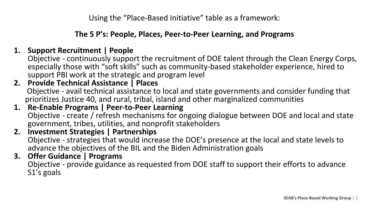Using the "Place-Based Initiative" table as a framework:

### **The 5 P's: People, Places, Peer-to-Peer Learning, and Programs**

### **1. Support Recruitment | People**

Objective - continuously support the recruitment of DOE talent through the Clean Energy Corps, especially those with "soft skills" such as community-based stakeholder experience, hired to support PBI work at the strategic and program level

- **2. Provide Technical Assistance | Places**  Objective - avail technical assistance to local and state governments and consider funding that prioritizes Justice 40, and rural, tribal, island and other marginalized communities
- **1. Re-Enable Programs | Peer-to-Peer Learning** Objective - create / refresh mechanisms for ongoing dialogue between DOE and local and state government, tribes, utilities, and nonprofit stakeholders
- **2. Investment Strategies | Partnerships** Objective - strategies that would increase the DOE's presence at the local and state levels to advance the objectives of the BIL and the Biden Administration goals
- **3. Offer Guidance | Programs**  Objective - provide guidance as requested from DOE staff to support their efforts to advance S1's goals